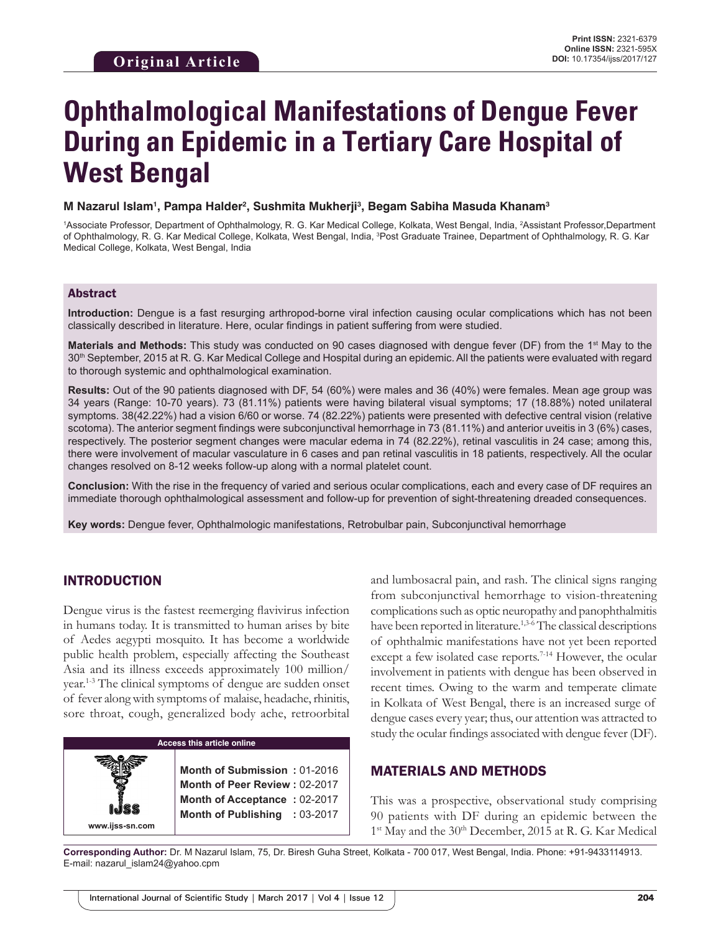# **Ophthalmological Manifestations of Dengue Fever During an Epidemic in a Tertiary Care Hospital of West Bengal**

**M Nazarul Islam1 , Pampa Halder2 , Sushmita Mukherji3 , Begam Sabiha Masuda Khanam3**

<sup>1</sup>Associate Professor, Department of Ophthalmology, R. G. Kar Medical College, Kolkata, West Bengal, India, <sup>2</sup>Assistant Professor,Department of Ophthalmology, R. G. Kar Medical College, Kolkata, West Bengal, India, <sup>3</sup>Post Graduate Trainee, Department of Ophthalmology, R. G. Kar Medical College, Kolkata, West Bengal, India

#### Abstract

**Introduction:** Dengue is a fast resurging arthropod-borne viral infection causing ocular complications which has not been classically described in literature. Here, ocular findings in patient suffering from were studied.

**Materials and Methods:** This study was conducted on 90 cases diagnosed with dengue fever (DF) from the 1<sup>st</sup> May to the 30th September, 2015 at R. G. Kar Medical College and Hospital during an epidemic. All the patients were evaluated with regard to thorough systemic and ophthalmological examination.

**Results:** Out of the 90 patients diagnosed with DF, 54 (60%) were males and 36 (40%) were females. Mean age group was 34 years (Range: 10-70 years). 73 (81.11%) patients were having bilateral visual symptoms; 17 (18.88%) noted unilateral symptoms. 38(42.22%) had a vision 6/60 or worse. 74 (82.22%) patients were presented with defective central vision (relative scotoma). The anterior segment findings were subconjunctival hemorrhage in 73 (81.11%) and anterior uveitis in 3 (6%) cases, respectively. The posterior segment changes were macular edema in 74 (82.22%), retinal vasculitis in 24 case; among this, there were involvement of macular vasculature in 6 cases and pan retinal vasculitis in 18 patients, respectively. All the ocular changes resolved on 8-12 weeks follow-up along with a normal platelet count.

**Conclusion:** With the rise in the frequency of varied and serious ocular complications, each and every case of DF requires an immediate thorough ophthalmological assessment and follow-up for prevention of sight-threatening dreaded consequences.

**Key words:** Dengue fever, Ophthalmologic manifestations, Retrobulbar pain, Subconjunctival hemorrhage

#### INTRODUCTION

**www.ijss-sn.com**

Dengue virus is the fastest reemerging flavivirus infection in humans today. It is transmitted to human arises by bite of Aedes aegypti mosquito. It has become a worldwide public health problem, especially affecting the Southeast Asia and its illness exceeds approximately 100 million/ year.1-3 The clinical symptoms of dengue are sudden onset of fever along with symptoms of malaise, headache, rhinitis, sore throat, cough, generalized body ache, retroorbital

| Access this article online |  |                                                               |  |  |
|----------------------------|--|---------------------------------------------------------------|--|--|
|                            |  | Month of Submission: 01-2016<br>Month of Peer Review: 02-2017 |  |  |
|                            |  |                                                               |  |  |

**Month of Acceptance :** 02-2017 **Month of Publishing :** 03-2017 and lumbosacral pain, and rash. The clinical signs ranging from subconjunctival hemorrhage to vision-threatening complications such as optic neuropathy and panophthalmitis have been reported in literature.<sup>1,3-6</sup> The classical descriptions of ophthalmic manifestations have not yet been reported except a few isolated case reports.<sup>7-14</sup> However, the ocular involvement in patients with dengue has been observed in recent times. Owing to the warm and temperate climate in Kolkata of West Bengal, there is an increased surge of dengue cases every year; thus, our attention was attracted to study the ocular findings associated with dengue fever (DF).

#### MATERIALS AND METHODS

This was a prospective, observational study comprising 90 patients with DF during an epidemic between the 1<sup>st</sup> May and the 30<sup>th</sup> December, 2015 at R. G. Kar Medical

**Corresponding Author:** Dr. M Nazarul Islam, 75, Dr. Biresh Guha Street, Kolkata - 700 017, West Bengal, India. Phone: +91-9433114913. E-mail: nazarul\_islam24@yahoo.cpm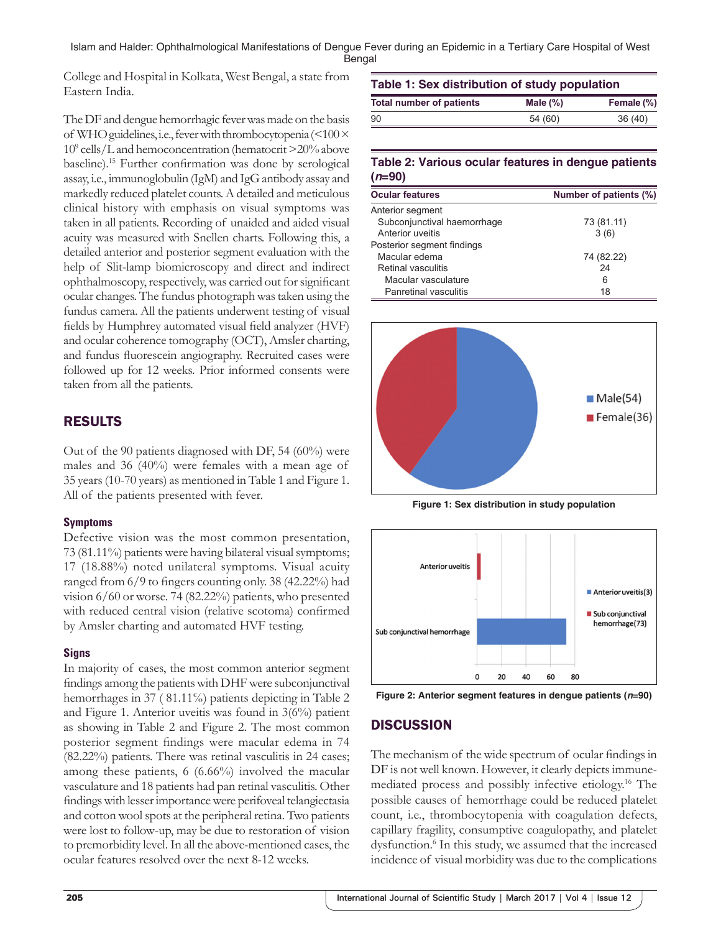Islam and Halder: Ophthalmological Manifestations of Dengue Fever during an Epidemic in a Tertiary Care Hospital of West Bengal

College and Hospital in Kolkata, West Bengal, a state from Eastern India.

The DF and dengue hemorrhagic fever was made on the basis of WHO guidelines, i.e., fever with thrombocytopenia (<100 × 109 cells/L and hemoconcentration (hematocrit>20% above baseline).15 Further confirmation was done by serological assay, i.e., immunoglobulin (IgM) and IgG antibody assay and markedly reduced platelet counts. Adetailed and meticulous clinical history with emphasis on visual symptoms was taken in all patients. Recording of unaided and aided visual acuity was measured with Snellen charts. Following this, a detailed anterior and posterior segment evaluation with the help of Slit-lamp biomicroscopy and direct and indirect ophthalmoscopy, respectively, was carried out for significant ocular changes. The fundus photograph was taken using the fundus camera. All the patients underwent testing of visual fields by Humphrey automated visual field analyzer (HVF) and ocular coherence tomography (OCT), Amsler charting, and fundus fluorescein angiography. Recruited cases were followed up for 12 weeks. Prior informed consents were taken from all the patients.

# RESULTS

Out of the 90 patients diagnosed with DF, 54 (60%) were males and 36 (40%) were females with a mean age of 35 years (10-70 years) as mentioned in Table 1 and Figure 1. All of the patients presented with fever.

#### **Symptoms**

Defective vision was the most common presentation, 73 (81.11%) patients were having bilateral visual symptoms; 17 (18.88%) noted unilateral symptoms. Visual acuity ranged from 6/9 to fingers counting only. 38 (42.22%) had vision 6/60 or worse. 74 (82.22%) patients, who presented with reduced central vision (relative scotoma) confirmed by Amsler charting and automated HVF testing.

#### **Signs**

In majority of cases, the most common anterior segment findings among the patients with DHF were subconjunctival hemorrhages in 37 (81.11%) patients depicting in Table 2 and Figure 1. Anterior uveitis was found in 3(6%) patient as showing in Table 2 and Figure 2. The most common posterior segment findings were macular edema in 74 (82.22%) patients. There was retinal vasculitis in 24 cases; among these patients, 6 (6.66%) involved the macular vasculature and 18 patients had pan retinal vasculitis. Other findings with lesser importance were perifoveal telangiectasia and cotton wool spots at the peripheral retina. Two patients were lost to follow-up, may be due to restoration of vision to premorbidity level. In all the above-mentioned cases, the ocular features resolved over the next 8-12 weeks.

| Table 1: Sex distribution of study population |             |            |  |  |
|-----------------------------------------------|-------------|------------|--|--|
| <b>Total number of patients</b>               | Male $(\%)$ | Female (%) |  |  |
| 90                                            | 54 (60)     | 36(40)     |  |  |

### **Table 2: Various ocular features in dengue patients (***n***=90)**

| <b>Ocular features</b>       | Number of patients (%) |
|------------------------------|------------------------|
| Anterior segment             |                        |
| Subconjunctival haemorrhage  | 73 (81.11)             |
| Anterior uveitis             | 3(6)                   |
| Posterior segment findings   |                        |
| Macular edema                | 74 (82.22)             |
| Retinal vasculitis           | 24                     |
| Macular vasculature          | 6                      |
| <b>Panretinal vasculitis</b> | 18                     |



**Figure 1: Sex distribution in study population**





# **DISCUSSION**

The mechanism of the wide spectrum of ocular findings in DF is not well known. However, it clearly depicts immunemediated process and possibly infective etiology.16 The possible causes of hemorrhage could be reduced platelet count, i.e., thrombocytopenia with coagulation defects, capillary fragility, consumptive coagulopathy, and platelet dysfunction.<sup>6</sup> In this study, we assumed that the increased incidence of visual morbidity was due to the complications